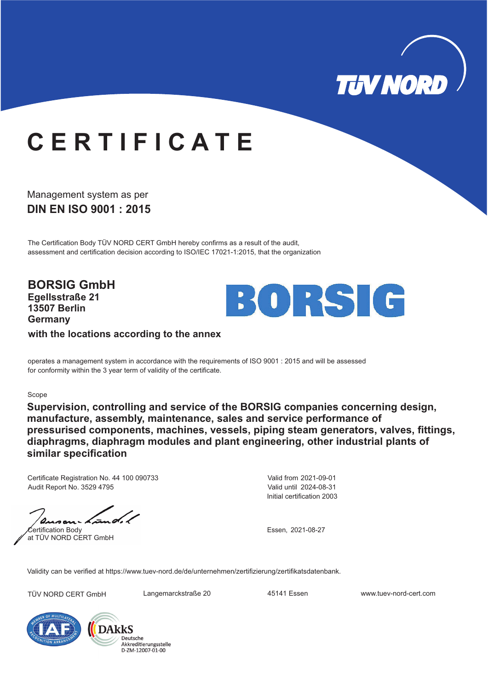

## **C E R T I F I C A T E**

**DIN EN ISO 9001 : 2015** Management system as per

The Certification Body TÜV NORD CERT GmbH hereby confirms as a result of the audit, assessment and certification decision according to ISO/IEC 17021-1:2015, that the organization

**BORSIG GmbH Egellsstraße 21 13507 Berlin Germany**



**with the locations according to the annex**

operates a management system in accordance with the requirements of ISO 9001 : 2015 and will be assessed for conformity within the 3 year term of validity of the certificate.

#### Scope

**Supervision, controlling and service of the BORSIG companies concerning design, manufacture, assembly, maintenance, sales and service performance of pressurised components, machines, vessels, piping steam generators, valves, fittings, diaphragms, diaphragm modules and plant engineering, other industrial plants of similar specification**

Certificate Registration No. 44 100 090733 Audit Report No. 3529 4795

Certification Body at TÜV NORD CERT GmbH

Initial certification 2003 Valid from 2021-09-01 Valid until 2024-08-31

Essen, 2021-08-27

Validity can be verified at https://www.tuev-nord.de/de/unternehmen/zertifizierung/zertifikatsdatenbank.

TÜV NORD CERT GmbH Langemarckstraße 20 45141 Essen www.tuev-nord-cert.com



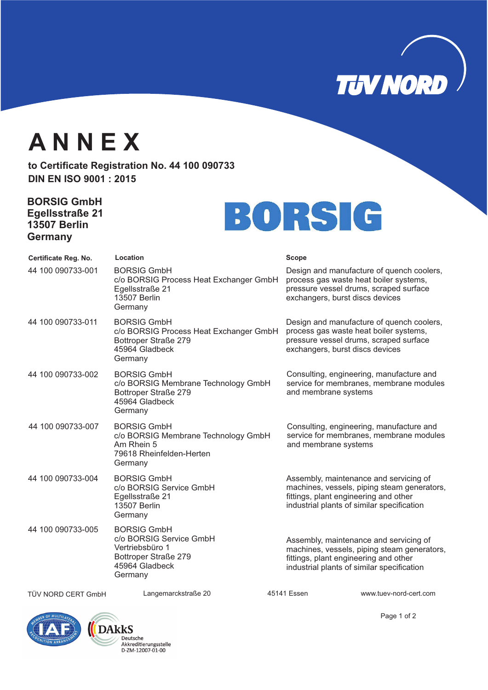**TUVNORD** 

## **A N N E X**

to Certificate Registration No. 44 100 090733 **DIN EN ISO 9001 : 2015**

### **BORSIG GmbH Egellsstraße 21 13507 Berlin Germany**

# BORSIG

| Certificate Reg. No. | Location                                                                                                              | <b>Scope</b>         |                                                                                                                                                                              |
|----------------------|-----------------------------------------------------------------------------------------------------------------------|----------------------|------------------------------------------------------------------------------------------------------------------------------------------------------------------------------|
| 44 100 090733-001    | <b>BORSIG GmbH</b><br>c/o BORSIG Process Heat Exchanger GmbH<br>Egellsstraße 21<br><b>13507 Berlin</b><br>Germany     |                      | Design and manufacture of quench coolers,<br>process gas waste heat boiler systems,<br>pressure vessel drums, scraped surface<br>exchangers, burst discs devices             |
| 44 100 090733-011    | <b>BORSIG GmbH</b><br>c/o BORSIG Process Heat Exchanger GmbH<br>Bottroper Straße 279<br>45964 Gladbeck<br>Germany     |                      | Design and manufacture of quench coolers,<br>process gas waste heat boiler systems,<br>pressure vessel drums, scraped surface<br>exchangers, burst discs devices             |
| 44 100 090733-002    | <b>BORSIG GmbH</b><br>c/o BORSIG Membrane Technology GmbH<br>Bottroper Straße 279<br>45964 Gladbeck<br>Germany        | and membrane systems | Consulting, engineering, manufacture and<br>service for membranes, membrane modules                                                                                          |
| 44 100 090733-007    | <b>BORSIG GmbH</b><br>c/o BORSIG Membrane Technology GmbH<br>Am Rhein 5<br>79618 Rheinfelden-Herten<br>Germany        | and membrane systems | Consulting, engineering, manufacture and<br>service for membranes, membrane modules                                                                                          |
| 44 100 090733-004    | <b>BORSIG GmbH</b><br>c/o BORSIG Service GmbH<br>Egellsstraße 21<br><b>13507 Berlin</b><br>Germany                    |                      | Assembly, maintenance and servicing of<br>machines, vessels, piping steam generators,<br>fittings, plant engineering and other<br>industrial plants of similar specification |
| 44 100 090733-005    | <b>BORSIG GmbH</b><br>c/o BORSIG Service GmbH<br>Vertriebsbüro 1<br>Bottroper Straße 279<br>45964 Gladbeck<br>Germany |                      | Assembly, maintenance and servicing of<br>machines, vessels, piping steam generators,<br>fittings, plant engineering and other<br>industrial plants of similar specification |
| TÜV NORD CERT GmbH   | Langemarckstraße 20                                                                                                   | 45141 Essen          | www.tuev-nord-cert.com                                                                                                                                                       |



Page 1 of 2